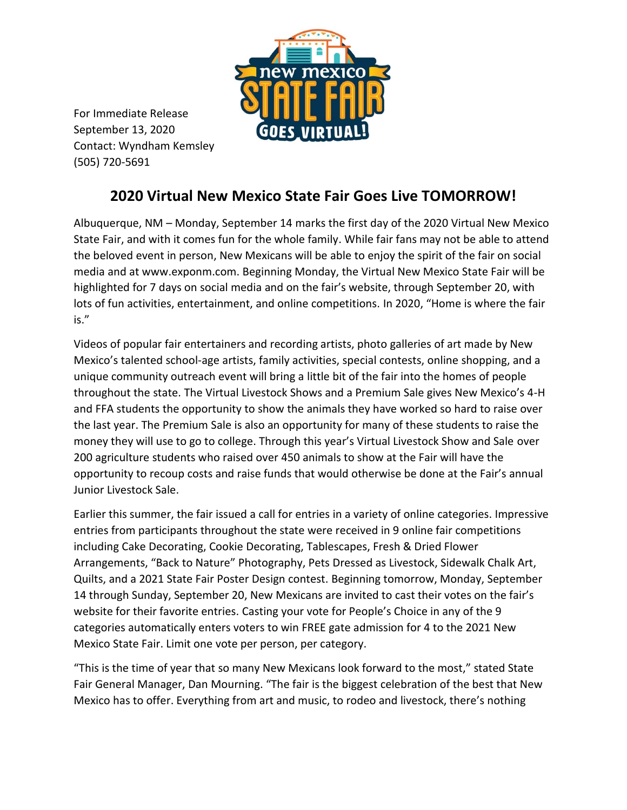

For Immediate Release September 13, 2020 Contact: Wyndham Kemsley (505) 720-5691

## **2020 Virtual New Mexico State Fair Goes Live TOMORROW!**

Albuquerque, NM – Monday, September 14 marks the first day of the 2020 Virtual New Mexico State Fair, and with it comes fun for the whole family. While fair fans may not be able to attend the beloved event in person, New Mexicans will be able to enjoy the spirit of the fair on social media and at www.exponm.com. Beginning Monday, the Virtual New Mexico State Fair will be highlighted for 7 days on social media and on the fair's website, through September 20, with lots of fun activities, entertainment, and online competitions. In 2020, "Home is where the fair is."

Videos of popular fair entertainers and recording artists, photo galleries of art made by New Mexico's talented school-age artists, family activities, special contests, online shopping, and a unique community outreach event will bring a little bit of the fair into the homes of people throughout the state. The Virtual Livestock Shows and a Premium Sale gives New Mexico's 4-H and FFA students the opportunity to show the animals they have worked so hard to raise over the last year. The Premium Sale is also an opportunity for many of these students to raise the money they will use to go to college. Through this year's Virtual Livestock Show and Sale over 200 agriculture students who raised over 450 animals to show at the Fair will have the opportunity to recoup costs and raise funds that would otherwise be done at the Fair's annual Junior Livestock Sale.

Earlier this summer, the fair issued a call for entries in a variety of online categories. Impressive entries from participants throughout the state were received in 9 online fair competitions including Cake Decorating, Cookie Decorating, Tablescapes, Fresh & Dried Flower Arrangements, "Back to Nature" Photography, Pets Dressed as Livestock, Sidewalk Chalk Art, Quilts, and a 2021 State Fair Poster Design contest. Beginning tomorrow, Monday, September 14 through Sunday, September 20, New Mexicans are invited to cast their votes on the fair's website for their favorite entries. Casting your vote for People's Choice in any of the 9 categories automatically enters voters to win FREE gate admission for 4 to the 2021 New Mexico State Fair. Limit one vote per person, per category.

"This is the time of year that so many New Mexicans look forward to the most," stated State Fair General Manager, Dan Mourning. "The fair is the biggest celebration of the best that New Mexico has to offer. Everything from art and music, to rodeo and livestock, there's nothing